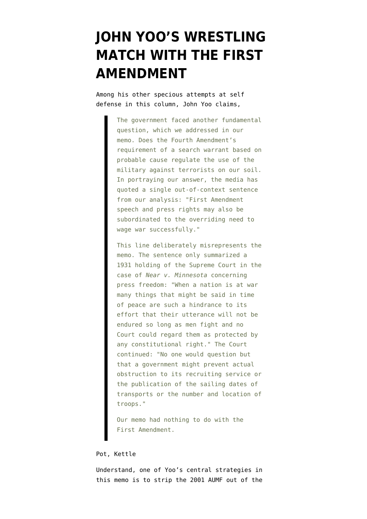## **[JOHN YOO'S WRESTLING](https://www.emptywheel.net/2009/03/09/john-yoos-wrestling-match-with-the-first-amendment/) [MATCH WITH THE FIRST](https://www.emptywheel.net/2009/03/09/john-yoos-wrestling-match-with-the-first-amendment/) [AMENDMENT](https://www.emptywheel.net/2009/03/09/john-yoos-wrestling-match-with-the-first-amendment/)**

Among his other specious attempts at self defense in [this column](http://online.wsj.com/article/SB123638439733558185.html), John Yoo claims,

> The government faced another fundamental question, which we addressed in our memo. Does the Fourth Amendment's requirement of a search warrant based on probable cause regulate the use of the military against terrorists on our soil. In portraying our answer, the media has quoted a single out-of-context sentence from our analysis: "First Amendment speech and press rights may also be subordinated to the overriding need to wage war successfully."

> This line deliberately misrepresents the memo. The sentence only summarized a 1931 holding of the Supreme Court in the case of *Near v. Minnesota* concerning press freedom: "When a nation is at war many things that might be said in time of peace are such a hindrance to its effort that their utterance will not be endured so long as men fight and no Court could regard them as protected by any constitutional right." The Court continued: "No one would question but that a government might prevent actual obstruction to its recruiting service or the publication of the sailing dates of transports or the number and location of troops."

Our memo had nothing to do with the First Amendment.

## Pot, Kettle

Understand, one of Yoo's central strategies in [this memo](http://www.usdoj.gov/opa/documents/memomilitaryforcecombatus10232001.pdf) is to strip the 2001 AUMF out of the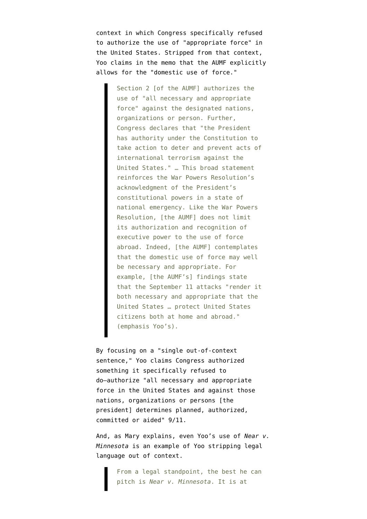context in which Congress [specifically refused](http://www.washingtonpost.com/wp-dyn/content/article/2005/12/22/AR2005122201101.html) to authorize the use of "appropriate force" in the United States. Stripped from that context, Yoo claims in the memo that the AUMF explicitly allows for the "domestic use of force."

> Section 2 [of the AUMF] authorizes the use of "all necessary and appropriate force" against the designated nations, organizations or person. Further, Congress declares that "the President has authority under the Constitution to take action to deter and prevent acts of international terrorism against the United States." … This broad statement reinforces the War Powers Resolution's acknowledgment of the President's constitutional powers in a state of national emergency. Like the War Powers Resolution, [the AUMF] does not limit its authorization and recognition of executive power to the use of force abroad. Indeed, [the AUMF] contemplates that the domestic use of force may well be necessary and appropriate. For example, [the AUMF's] findings state that the September 11 attacks "render it both necessary and appropriate that the United States … protect United States citizens both at home and abroad." (emphasis Yoo's).

By focusing on a "single out-of-context sentence," Yoo claims Congress authorized something it specifically refused to do–authorize "all necessary and appropriate force in the United States and against those nations, organizations or persons [the president] determines planned, authorized, committed or aided" 9/11.

And, as [Mary explains](http://emptywheel.firedoglake.com/2009/03/07/they-picked-a-bad-week-to-stop-sniffing-glue/#comment-140306), even Yoo's use of *Near v. Minnesota* is an example of Yoo stripping legal language out of context.

> From a legal standpoint, the best he can pitch is *Near v. Minnesota*. It is at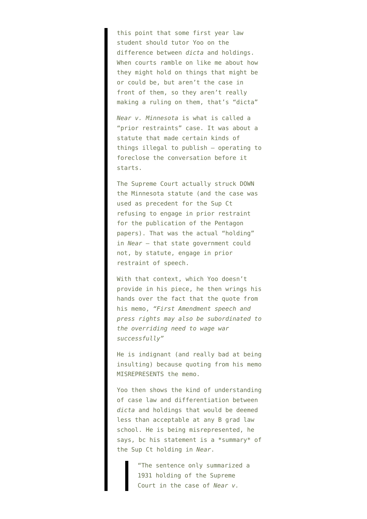this point that some first year law student should tutor Yoo on the difference between *dicta* and holdings. When courts ramble on like me about how they might hold on things that might be or could be, but aren't the case in front of them, so they aren't really making a ruling on them, that's "dicta"

*Near v. Minnesota* is what is called a "prior restraints" case. It was about a statute that made certain kinds of things illegal to publish – operating to foreclose the conversation before it starts.

The Supreme Court actually struck DOWN the Minnesota statute (and the case was used as precedent for the Sup Ct refusing to engage in prior restraint for the publication of the Pentagon papers). That was the actual "holding" in *Near* – that state government could not, by statute, engage in prior restraint of speech.

With that context, which Yoo doesn't provide in his piece, he then wrings his hands over the fact that the quote from his memo, *"First Amendment speech and press rights may also be subordinated to the overriding need to wage war successfully"*

He is indignant (and really bad at being insulting) because quoting from his memo MISREPRESENTS the memo.

Yoo then shows the kind of understanding of case law and differentiation between *dicta* and holdings that would be deemed less than acceptable at any B grad law school. He is being misrepresented, he says, bc his statement is a \*summary\* of the Sup Ct holding in *Near*.

> "The sentence only summarized a 1931 holding of the Supreme Court in the case of *Near v.*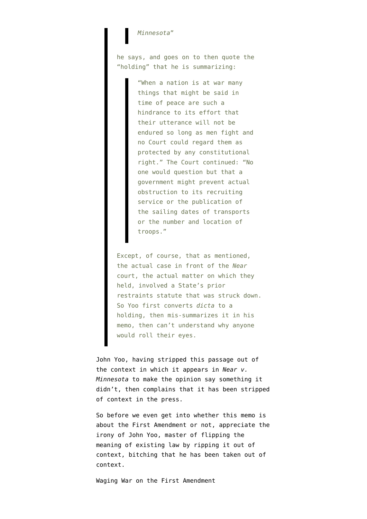## *Minnesota*"

he says, and goes on to then quote the "holding" that he is summarizing:

> "When a nation is at war many things that might be said in time of peace are such a hindrance to its effort that their utterance will not be endured so long as men fight and no Court could regard them as protected by any constitutional right." The Court continued: "No one would question but that a government might prevent actual obstruction to its recruiting service or the publication of the sailing dates of transports or the number and location of troops."

Except, of course, that as mentioned, the actual case in front of the *Near* court, the actual matter on which they held, involved a State's prior restraints statute that was struck down. So Yoo first converts *dicta* to a holding, then mis-summarizes it in his memo, then can't understand why anyone would roll their eyes.

John Yoo, having stripped this passage out of the context in which it appears in *Near v. Minnesota* to make the opinion say something it didn't, then complains that it has been stripped of context in the press.

So before we even get into whether this memo is about the First Amendment or not, appreciate the irony of John Yoo, master of flipping the meaning of existing law by ripping it out of context, bitching that he has been taken out of context.

Waging War on the First Amendment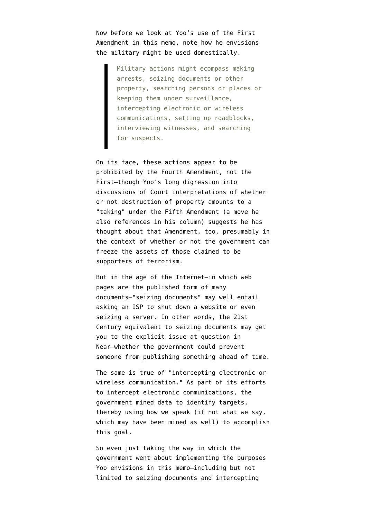Now before we look at Yoo's use of the First Amendment in this memo, note how he envisions the military might be used domestically.

> Military actions might ecompass making arrests, seizing documents or other property, searching persons or places or keeping them under surveillance, intercepting electronic or wireless communications, setting up roadblocks, interviewing witnesses, and searching for suspects.

On its face, these actions appear to be prohibited by the Fourth Amendment, not the First–though Yoo's long digression into discussions of Court interpretations of whether or not destruction of property amounts to a "taking" under the Fifth Amendment (a move he also references in his column) suggests he has thought about that Amendment, too, presumably in the context of whether or not the government can freeze the assets of those claimed to be supporters of terrorism.

But in the age of the Internet–in which web pages are the published form of many documents–"seizing documents" may well entail asking an ISP to shut down a website or even seizing a server. In other words, the 21st Century equivalent to seizing documents may get you to the explicit issue at question in Near–whether the government could prevent someone from publishing something ahead of time.

The same is true of "intercepting electronic or wireless communication." As part of its efforts to intercept electronic communications, the government mined data to identify targets, thereby using how we speak (if not what we say, which may have been mined as well) to accomplish this goal.

So even just taking the way in which the government went about implementing the purposes Yoo envisions in this memo–including but not limited to seizing documents and intercepting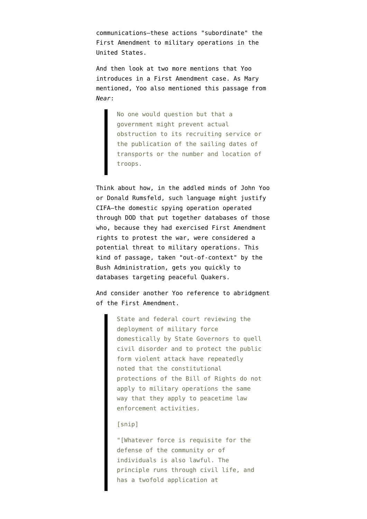communications–these actions "subordinate" the First Amendment to military operations in the United States.

And then look at two more mentions that Yoo introduces in a First Amendment case. As Mary mentioned, Yoo also mentioned this passage from *Near*:

> No one would question but that a government might prevent actual obstruction to its recruiting service or the publication of the sailing dates of transports or the number and location of troops.

Think about how, in the addled minds of John Yoo or Donald Rumsfeld, such language might justify CIFA–the domestic spying operation operated through DOD that [put together databases of those](http://thenexthurrah.typepad.com/the_next_hurrah/2006/08/why_are_cifa_re.html) [who, because they had exercised First Amendment](http://thenexthurrah.typepad.com/the_next_hurrah/2006/08/why_are_cifa_re.html) [rights](http://thenexthurrah.typepad.com/the_next_hurrah/2006/08/why_are_cifa_re.html) to protest the war, were considered a potential threat to military operations. This kind of passage, taken "out-of-context" by the Bush Administration, gets you quickly to databases targeting peaceful Quakers.

And consider another Yoo reference to abridgment of the First Amendment.

> State and federal court reviewing the deployment of military force domestically by State Governors to quell civil disorder and to protect the public form violent attack have repeatedly noted that the constitutional protections of the Bill of Rights do not apply to military operations the same way that they apply to peacetime law enforcement activities.

## [snip]

"[Whatever force is requisite for the defense of the community or of individuals is also lawful. The principle runs through civil life, and has a twofold application at